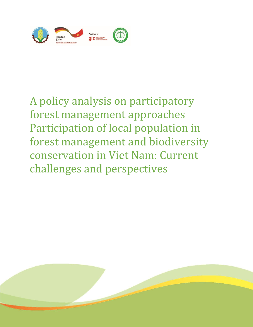

# A policy analysis on participatory forest management approaches Participation of local population in forest management and biodiversity conservation in Viet Nam: Current challenges and perspectives

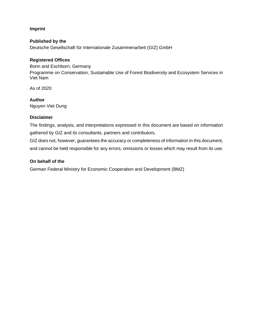### **Imprint**

**Published by the** Deutsche Gesellschaft für Internationale Zusammenarbeit (GIZ) GmbH

### **Registered Offices**

Bonn and Eschborn, Germany Programme on Conservation, Sustainable Use of Forest Biodiversity and Ecosystem Services in Viet Nam

As of 2020

**Author** Nguyen Viet Dung

#### **Disclaimer**

The findings, analysis, and interpretations expressed in this document are based on information gathered by GIZ and its consultants, partners and contributors.

GIZ does not, however, guarantees the accuracy or completeness of information in this document, and cannot be held responsible for any errors, omissions or losses which may result from its use.

#### **On behalf of the**

German Federal Ministry for Economic Cooperation and Development (BMZ)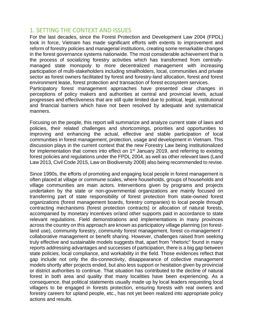## 1. SETTING THE CONTEXT AND ISSUES

For the last decades, since the Forest Protection and Development Law 2004 (FPDL) took in force, Vietnam has made significant efforts with extents to improvement and reform of forestry policies and managerial institutions, creating some remarkable changes in the forest governance systems nationwide. The most considerable achievement that is the process of socializing forestry activities which has transformed from centrallymanaged state monopoly to more decentralized management with increasing participation of multi-stakeholders including smallholders, local, communities and private sector as forest owners facilitated by forest and forestry-land allocation, forest and forest environment lease, forest protection and transaction of forest ecosystem services. Participatory forest management approaches have presented clear changes in

perceptions of policy makers and authorities at central and provincial levels, actual progresses and effectiveness that are still quite limited due to political, legal, institutional and financial barriers which have not been resolved by adequate and systematical manners.

Focusing on the people, this report will summarize and analyze current state of laws and policies, their related challenges and shortcomings, priorities and opportunities to improving and enhancing the actual, effective and stable participation of local communities in forest management, protection, usage and development in Vietnam. This discussion plays in the current context that the new Forestry Law being institutionalized for implementation that comes into effect on 1<sup>st</sup> January 2019, and referring to existing forest policies and regulations under the FPDL 2004, as well as other relevant laws (Land Law 2013, Civil Code 2015, Law on Biodiversity 2008) also being recommended to revise.

Since 1990s, the efforts of promoting and engaging local people in forest management is often placed at village or commune scales, where households, groups of households and village communities are main actors. Interventions given by programs and projects undertaken by the state or non-governmental organizations are mainly focused on transferring part of state responsibility of forest protection from state-owned forest organizations (forest management boards, forestry companies) to local people through contracting mechanisms (forest protection contracts) or allocation of natural forests, accompanied by monetary incentives or/and other supports paid in accordance to state relevant regulations. Field demonstrations and implementations in many provinces across the country on this approach are known as participatory village planning (on forestland use), community forestry, community forest management, forest co-management / collaborative management or benefit sharing. However, challenges raised from seeking truly effective and sustainable models suggests that, apart from "rhetoric" found in many reports addressing advantages and successes of participation, there is a big gap between state policies, local compliance, and workability in the field. Those evidences reflect that gap include not only the dis-connectivity, disappearance of collective management models shortly after projects ended, but also less support or hesitation given by provincial or district authorities to continue. That situation has contributed to the decline of natural forest in both area and quality that many localities have been experiencing. As a consequence, that political statements usually made up by local leaders requesting local villagers to be engaged in forests protection, ensuring forests with real owners and forestry careers for upland people, etc., has not yet been realized into appropriate policy actions and results.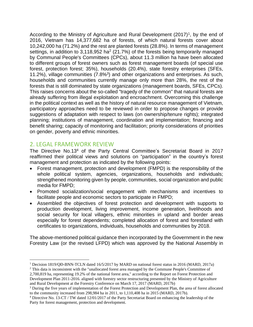According to the Ministry of Agriculture and Rural Development  $(2017)^1$ , by the end of 2016, Vietnam has 14,377,682 ha of forests, of which natural forests cover about 10,242,000 ha (71.2%) and the rest are planted forests (28.8%). In terms of management settings, in addition to 3,118,952 ha<sup>2</sup> (21.7%) of the forests being temporarily managed by Communal People's Committees (CPCs), about 11.3 million ha have been allocated to different groups of forest owners such as forest management boards (of special use forest, protection forest; 35%), households (20.4%), state forestry enterprises (SFEs, 11.2%), village communities (7.8%<sup>3</sup>) and other organizations and enterprises. As such, households and communities currently manage only more than 28%, the rest of the forests that is still dominated by state organizations (management boards, SFEs, CPCs). This raises concerns about the so-called "tragedy of the common" that natural forests are already suffering from illegal exploitation and encroachment. Overcoming this challenge in the political context as well as the history of natural resource management of Vietnam, participatory approaches need to be reviewed in order to propose changes or provide suggestions of adaptation with respect to laws (on ownership/tenure rights); integrated planning; institutions of management, coordination and implementation; financing and benefit sharing; capacity of monitoring and facilitation; priority considerations of priorities on gender, poverty and ethnic minorities.

## 2. LEGAL FRAMEWORK REVIEW

The Directive No.13<sup>4</sup> of the Party Central Committee's Secretariat Board in 2017 reaffirmed their political views and solutions on "participation" in the country's forest management and protection as indicated by the following points:

- Forest management, protection and development (FMPD) is the responsibility of the whole political system, agencies, organizations, households and individuals; strengthened monitoring given by people, communities, social organization and public media for FMPD;
- Promoted socialization/social engagement with mechanisms and incentives to facilitate people and economic sectors to participate in FMPD;
- Assembled the objectives of forest protection and development with supports to production development, living improvement, income generation, livelihoods and social security for local villagers, ethnic minorities in upland and border areas especially for forest dependents; completed allocation of forest and forestland with certificates to organizations, individuals, households and communities by 2018.

The above-mentioned political guidance then incorporated by the Government in the new Forestry Law (or the revised LFPD) which was approved by the National Assembly in

<sup>1</sup> Decision 1819/QĐ-BNN-TCLN dated 16/5/2017 by MARD on national forest status in 2016 (MARD, 2017a)

<sup>&</sup>lt;sup>2</sup> This data is inconsistent with the "unallocated forest area managed by the Commune People's Committee of 2,700,819 ha, representing 19.2% of the national forest area," according to the Report on Forest Protection and Development Plan 2011-2016. aligned with forestry sector restructuring presented by the Ministry of Agriculture and Rural Development at the Forestry Conference on March 17, 2017 (MARD, 2017b)

<sup>3</sup> During the five years of implementation of the Forest Protection and Development Plan, the area of forest allocated to the community increased from 298,984 ha in 2011, to 1,110,408 ha in 2015 (MARD, 2017b).

<sup>4</sup> Directive No. 13-CT / TW dated 12/01/2017 of the Party Secretariat Board on enhancing the leadership of the Party for forest management, protection and development.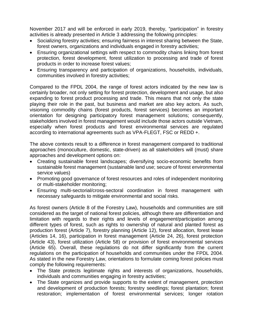November 2017 and will be enforced in early 2019, thereby, "participation" in forestry activities is already presented in Article 3 addressing the following principles:

- Socializing forestry activities; ensuring fairness in interest sharing between the State, forest owners, organizations and individuals engaged in forestry activities;
- Ensuring organizational settings with respect to commodity chains linking from forest protection, forest development, forest utilization to processing and trade of forest products in order to increase forest values;
- Ensuring transparency and participation of organizations, households, individuals, communities involved in forestry activities;

Compared to the FPDL 2004, the range of forest actors indicated by the new law is certainly broader, not only setting for forest protection, development and usage, but also expanding to forest product processing and trade. This means that not only the state playing their role in the past, but business and market are also key actors. As such, visioning commodity chains (forest products, forest services) becomes an important orientation for designing participatory forest management solutions; consequently, stakeholders involved in forest management would include those actors outside Vietnam, especially when forest products and forest environmental services are regulated according to international agreements such as VPA-FLEGT, FSC or REDD +.

The above contexts result to a difference in forest management compared to traditional approaches (monoculture, domestic, state-driven) as all stakeholders will (must) share approaches and development options on:

- Creating sustainable forest landscapes; diversifying socio-economic benefits from sustainable forest management (sustainable land use; secure of forest environmental service values)
- Promoting good governance of forest resources and roles of independent monitoring or multi-stakeholder monitoring;
- Ensuring multi-sectorial/cross-sectoral coordination in forest management with necessary safeguards to mitigate environmental and social risks.

As forest owners (Article 8 of the Forestry Law), households and communities are still considered as the target of national forest policies, although there are differentiation and limitation with regards to their rights and levels of engagement/participation among different types of forest, such as rights to ownership of natural and planted forest as production forest (Article 7), forestry planning (Article 12), forest allocation, forest lease (Articles 14, 16), participation in forest management (Article 24, 26), forest protection (Article 43), forest utilization (Article 58) or provision of forest environmental services (Article 65). Overall, these regulations do not differ significantly from the current regulations on the participation of households and communities under the FPDL 2004. As stated in the new Forestry Law, orientations to formulate coming forest policies must comply the following requirements:

- The State protects legitimate rights and interests of organizations, households, individuals and communities engaging in forestry activities;
- The State organizes and provide supports to the extent of management, protection and development of production forests; forestry seedlings; forest plantation; forest restoration; implementation of forest environmental services; longer rotation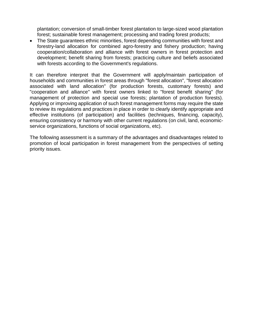plantation; conversion of small-timber forest plantation to large-sized wood plantation forest; sustainable forest management; processing and trading forest products;

• The State guarantees ethnic minorities, forest depending communities with forest and forestry-land allocation for combined agro-forestry and fishery production; having cooperation/collaboration and alliance with forest owners in forest protection and development; benefit sharing from forests; practicing culture and beliefs associated with forests according to the Government's regulations.

It can therefore interpret that the Government will apply/maintain participation of households and communities in forest areas through "forest allocation", "forest allocation associated with land allocation" (for production forests, customary forests) and "cooperation and alliance" with forest owners linked to "forest benefit sharing" (for management of protection and special use forests; plantation of production forests). Applying or improving application of such forest management forms may require the state to review its regulations and practices in place in order to clearly identify appropriate and effective institutions (of participation) and facilities (techniques, financing, capacity), ensuring consistency or harmony with other current regulations (on civil, land, economicservice organizations, functions of social organizations, etc).

The following assessment is a summary of the advantages and disadvantages related to promotion of local participation in forest management from the perspectives of setting priority issues.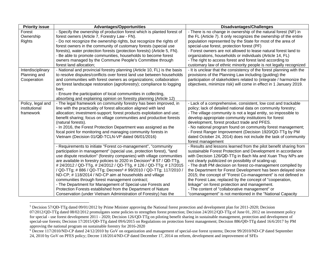| <b>Priority issue</b> | <b>Advantages/Opportunities</b>                                                    | <b>Disadvantages/Challenges</b>                                      |
|-----------------------|------------------------------------------------------------------------------------|----------------------------------------------------------------------|
| Forest                | - Specify the ownership of production forest which is planted forest of            | - There is no change in ownership of the natural forest (NF) in      |
| Ownership             | forest owners (Article 7, Forestry Law - FN).                                      | the FL (Article 7). It only recognizes the ownership of the entire   |
| <b>Rights</b>         | - Do not recognize the ownership rights, but recognize the rights of               | population represented by the State for most of the area of          |
|                       | forest owners in the community of customary forests (special use                   | special-use forest, protection forest (PF)                           |
|                       | forests), water protection forests (protection forests) (Article 5, FN).           | - Forest owners are not allowed to lease natural forest land to      |
|                       | - Be able to promote communities, households to become forest                      | organizations, households or individuals (Article 14, FL)            |
|                       | owners managed by the Commune People's Committee through                           | - The right to access forest and forest land according to            |
|                       | forest land allocation;                                                            | customary law of ethnic minority people is not legally recognized    |
| Interdisciplinary     | - National and provincial forestry planning (Article 10, FL) is the basis          | - It is unclear that the consistency of the forest planning with the |
| Planning and          | to resolve disputes/conflicts over forest land use between households              | provisions of the Planning Law including (guiding) the               |
| Cooperation           | and communities with forest owners as organizations; collaboration                 | participation of stakeholders related to (integrate / harmonize the  |
|                       | on forest landscape restoration (agroforestry); compliance to logging              | objectives, minimize risk) will come in effect in 1 January 2019.    |
|                       | ban;                                                                               |                                                                      |
|                       | - Ensure the participation of local communities in collecting,                     |                                                                      |
|                       | absorbing and explaining opinion on forestry planning (Article 12)                 |                                                                      |
| Policy, legal and     | - The legal framework on community forestry has been improved, in                  | - Lack of a comprehensive, consistent, low cost and trackable        |
| institutional         | line with the practicality of forest allocation aligned with land                  | policy; lack of detailed national data on community forestry;        |
| framework             | allocation; investment-support; forest products exploitation and use;              | - The village community is not a legal entity, so impossible to      |
|                       | benefit sharing; focus on village communities and productive forests               | develop appropriate community institutions for forest                |
|                       | (natural forests).                                                                 | development, forest product trade and PFES.                          |
|                       | - In 2016, the Forest Protection Department was assigned as the                    | - No national program found on community forest management;          |
|                       | focal point for monitoring and managing community forests in                       | - Forest Ranger Improvement (Decision 1920/QD-TTg by PM              |
|                       | Vietnam (Decision 01/QĐ-TCLN-VP dated 06/01/2016)                                  | dated October 24, 2014) does not include the task of community       |
|                       |                                                                                    | forest management                                                    |
|                       | - Requirements to initiate "Forest co-management", "community                      | - Results and lessons learned from the pilot benefit sharing from    |
|                       | participation in management" (special use, protection forest), "land               | sustainable Forest Protection and Development in accordance          |
|                       | use dispute resolution" (forestry companies) with village communities              | with Decision 126/QĐ-TTg in Bach Ma and Xuan Thuy NPs are            |
|                       | are available in forestry policies to 2020 in Decision <sup>5</sup> # 57 / QĐ-TTg, | not clearly publicized on possibility of scaling-up;                 |
|                       | # 24/2012 / QD-TTg, # 24/2012 / QD-TTg, # 126 / QD-TTg; # 17/2015                  | - The draft PM decision on forest co-management compiled by          |
|                       | / QD-TTg; # 886 / QD-TTg; Decrees <sup>6</sup> # 99/2010 / QD-TTg; 117/2010 /      | the Department for Forest Development has been delayed since         |
|                       | ND-CP; #118/2014 / ND-CP aim at households and village                             | 2015; the concept of "Forest Co-management" is not defined in        |
|                       | communities through forest management contract;                                    | the Forest Law, replaced by the concept of "cooperation,             |
|                       | - The Department for Management of Special-use Forests and                         | linkage" on forest protection and management.                        |
|                       | Protection Forests established from the Department of Nature                       | - The content of "collaborative management" or                       |
|                       | Conservation (under Vietnam Administration of Forestry) has the                    | "comanagement" is not mentioned in the "National Capacity            |

<sup>5</sup> Decision 57/QĐ-TTg dated 09/01/2012 by Prime Minister approving the National forest protection and development plan for 2011-2020; Decision 07/2012/QD-TTg dated 08/02/2012 promulgates some policies to strengthen forest protection; Decision 24/2012/QD-TTg of June 01, 2012 on investment policy for special - use forest development 2011 - 2020; Decision 126/QD-TTg on piloting benefit sharing in sustainable management, protection and development of special-use forests; Decision 17/2015/QĐ-TTg dated 09/6/2015 on Regulations on protection forest management; Decision 886/QĐ-TTg dated 16/6/2017 by PM approving the national program on sustainable forestry for 2016-2020

<sup>&</sup>lt;sup>6</sup> Decree 117/2010/ND-CP dated 24/12/2010 by GoV on organization and management of special-use forest systems; Decree 99/2010/ND-CP dated September 24, 2010 by GoV on PFES policy; Decree 118/2014/ND-CP dated December 17, 2014 on reform, development and improvement of SFEs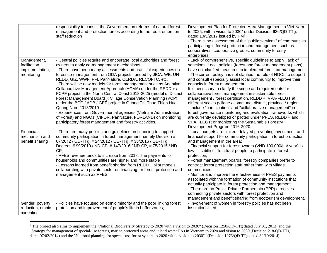|                                                               | responsibility to consult the Government on reforms of natural forest<br>management and protection forces according to the requirement on<br>staff reduction                                                                                                                                                                                                                                                                                                                                                                                                                                                                                                                                                                                                                                                                                                                            | Development Plan for Protected Area Management in Viet Nam<br>to 2025, with a vision to 2030" under Decision 626/QD-TTg.<br>dated 10/5/2017 issued by PM <sup>7</sup> ;<br>- There is no assessment of the "public services" of communities<br>participating in forest protection and management such as<br>cooperatives, cooperative groups, community forestry<br>enterprises;                                                                                                                                                                                                                                                                                                                                                                                                                                                                                                                                   |
|---------------------------------------------------------------|-----------------------------------------------------------------------------------------------------------------------------------------------------------------------------------------------------------------------------------------------------------------------------------------------------------------------------------------------------------------------------------------------------------------------------------------------------------------------------------------------------------------------------------------------------------------------------------------------------------------------------------------------------------------------------------------------------------------------------------------------------------------------------------------------------------------------------------------------------------------------------------------|--------------------------------------------------------------------------------------------------------------------------------------------------------------------------------------------------------------------------------------------------------------------------------------------------------------------------------------------------------------------------------------------------------------------------------------------------------------------------------------------------------------------------------------------------------------------------------------------------------------------------------------------------------------------------------------------------------------------------------------------------------------------------------------------------------------------------------------------------------------------------------------------------------------------|
| Management,<br>facilitation,<br>implementation,<br>monitoring | - Central policies require and encourage local authorities and forest<br>owners to apply co-management mechanisms;<br>- There have been many assessments and practical experiences on<br>forest co-management from ODA projects funded by JICA, WB, UN-<br>REDD, GIZ, WWF, FFI, PanNature, CERDA, RECOFTC, etc.<br>- There will be new models for forest management such as Adaptive<br>Collaborative Management Approach (ACMA) under the REDD + /<br>FCPF project in the North Central Coast 2018-2025 (model of District<br>Forest Management Board); Village Conservation Planning (VCP)<br>under the BCC / ADB / GEF project in Quang Tri, Thua Thien Hue,<br>Quang Nam 2018/2019<br>- Experiences from Governmental agencies (Vietnam Administration<br>of Forest) and NGOs (CIFOR, PanNature, FORLAND) on monitoring<br>participatory forest management and forestry activities. | - Lack of comprehensive, specific guidelines to apply; lack of<br>sanctions. Local policies (forest and forest management plans)<br>have not clarified measures to implement forest co-management<br>- The current policy has not clarified the role of NGOs to support<br>and consult especially assist local community to improve their<br>capacity in forest management.<br>It is necessary to clarify the scope and requirements for<br>collaborative forest management in sustainable forest<br>management / forest certification, REDD +, VPA-FLEGT at<br>different scales (village / commune, district, province / region<br>- Include "participation" and "collaborative management" in<br>forest governance monitoring and evaluation frameworks which<br>are currently developed or piloted under PFES, REDD + and<br>VPA FLEGT; or monitoring the Sustainable Forestry<br>Development Program 2016-2020 |
| Financial<br>mechanism and<br>benefit sharing                 | - There are many policies and guidelines on financing to support<br>community participation in forest management namely Decision #<br>07/2012 / QĐ-TTg, # 24/2012 / QĐ-TTg; # 38/2016 / QD-TTg;<br>Decrees #99/2010 / ND-CP; #147/2016 / ND-CP, #75/2015 / ND-<br>CP;<br>- PFES revenue tends to increase from 2018; The payments for<br>households and communities are higher and more stable<br>- Lessons learned from benefit sharing from REDD + pilot models,<br>collaborating with private sector on financing for forest protection and<br>management such as PFES                                                                                                                                                                                                                                                                                                               | - Local budgets are limited, delayed preventing investment, and<br>financial support for community participation in forest protection<br>and management in the area;<br>- Financial support for forest owners (VND 100,000/ha/ year) is<br>low, it is difficult to attract people to participate in forest<br>protection;<br>- Forest management boards, forestry companies prefer to<br>contract forest protection staff rather than with village<br>communities.<br>- Monitor and improve the effectiveness of PFES payments<br>associated with the formation of community institutions that<br>actually participate in forest protection and management.<br>- There are no Public-Private Partnership (PPP) directives<br>connecting private sectors with forest protection and<br>management and benefit sharing from ecotourism development.                                                                  |
| Gender, poverty<br>reduction, ethnic<br>minorities            | - Policies have focused on ethnic minority and the poor linking forest<br>protection and improvement of people's life in buffer zones;                                                                                                                                                                                                                                                                                                                                                                                                                                                                                                                                                                                                                                                                                                                                                  | - Involvement of women in forestry policies has not been<br>institutionalized;                                                                                                                                                                                                                                                                                                                                                                                                                                                                                                                                                                                                                                                                                                                                                                                                                                     |

<sup>7</sup> The project also aims to implement the "National Biodiversity Strategy to 2020 with a vision to 2030" (Decision 1250/QĐ-TTg dated July 31, 2013) and the "Strategy for management of special-use forests, marine protected areas and inland water PAs in Vietnam to 2020 and vision to 2030 (Decision 218/QD-TTg dated 07/02/2014) and the "National planning for special-use forest system to 2020 with a vision to 2030" "(Decision 1976/QĐ-TTg dated 30/10/2014)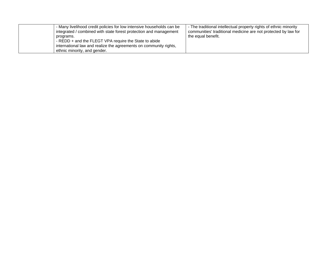| - Many livelihood credit policies for low intensive households can be | The traditional intellectual property rights of ethnic minority |
|-----------------------------------------------------------------------|-----------------------------------------------------------------|
| integrated / combined with state forest protection and management     | communities' traditional medicine are not protected by law for  |
| programs.                                                             | the equal benefit.                                              |
| - REDD + and the FLEGT VPA require the State to abide                 |                                                                 |
| international law and realize the agreements on community rights,     |                                                                 |
| ethnic minority, and gender.                                          |                                                                 |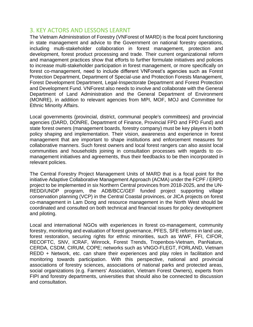## 3. KEY ACTORS AND LESSONS LEARNT

The Vietnam Administration of Forestry (VNForest of MARD) is the focal point functioning in state management and advice to the Government on national forestry operations, including multi-stakeholder collaboration in forest management, protection and development, forest product processing and trade. Their current organizational reform and management practices show that efforts to further formulate initiatives and policies to increase multi-stakeholder participation in forest management, or more specifically on forest co-management, need to include different VNForest's agencies such as Forest Protection Department, Department of Special-use and Protection Forests Management, Forest Development Department, Legal-Inspectorate Department and Forest Protection and Development Fund. VNForest also needs to involve and collaborate with the General Department of Land Administration and the General Department of Environment (MONRE), in addition to relevant agencies from MPI, MOF, MOJ and Committee for Ethnic Minority Affairs.

Local governments (provincial, district, communal people's committees) and provincial agencies (DARD, DONRE, Department of Finance, Provincial FPD and FPD Fund) and state forest owners (management boards, forestry company) must be key players in both policy shaping and implementation. Their vision, awareness and experience in forest management that are important to shape institutions and enforcement measures for collaborative manners. Such forest owners and local forest rangers can also assist local communities and households joining in consultation processes with regards to comanagement initiatives and agreements, thus their feedbacks to be then incorporated in relevant policies.

The Central Forestry Project Management Units of MARD that is a focal point for the initiative Adaptive Collaborative Management Approach (ACMA) under the FCPF / ERPD project to be implemented in six Northern Central provinces from 2018-2025, and the UN-REDD/UNDP program, the ADB/BCC/GEF funded project supporting village conservation planning (VCP) in the Central Coastal provinces, or JICA projects on forest co-management in Lam Dong and resource management in the North West should be coordinated and consulted on both technical and financial issues for policy development and piloting.

Local and international NGOs with experiences in forest co-management, community forestry, monitoring and evaluation of forest governance, PFES, SFE reforms in land use, forest restoration, securing rights for ethnic minorities, such as WWF, FFI, CIFOR, RECOFTC, SNV, ICRAF, Winrock, Forest Trends, Tropenbos-Vietnam, PanNature, CERDA, CSDM, CIRUM, COPE; networks such as VNGO-FLEGT, FORLAND, Vietnam REDD + Network, etc. can share their experiences and play roles in facilitation and monitoring towards participation. With this perspective, national and provincial associations of forestry sciences, associations of national parks and protected areas, social organizations (e.g. Farmers' Association, Vietnam Forest Owners), experts from FIPI and forestry departments, universities that should also be connected to discussion and consultation.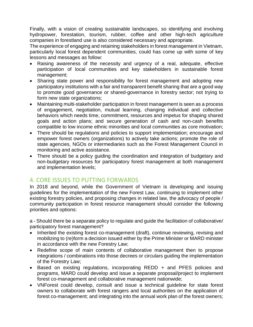Finally, with a vision of creating sustainable landscapes, so identifying and involving hydropower, forestation, tourism, rubber, coffee and other high-tech agriculture companies in forestland use is also considered necessary and appropriate.

The experience of engaging and retaining stakeholders in forest management in Vietnam, particularly local forest dependent communities, could has come up with some of key lessons and messages as follow:

- Raising awareness of the necessity and urgency of a real, adequate, effective participation of local communities and key stakeholders in sustainable forest management;
- Sharing state power and responsibility for forest management and adopting new participatory institutions with a fair and transparent benefit sharing that are a good way to promote good governance or shared-governance in forestry sector; not trying to form new state organizations;
- Maintaining multi-stakeholder participation in forest management is seen as a process of engagement, negotiation, mutual learning, changing individual and collective behaviors which needs time, commitment, resources and impetus for shaping shared goals and action plans; and secure generation of cash and non-cash benefits compatible to low income ethnic minorities and local communities as core motivation;
- There should be regulations and policies to support implementation; encourage and empower forest owners (organizations) to actively take actions; promote the role of state agencies, NGOs or intermediaries such as the Forest Management Council in monitoring and active assistance.
- There should be a policy guiding the coordination and integration of budgetary and non-budgetary resources for participatory forest management at both management and implementation levels;

# 4. CORE ISSUES TO PUTTING FORWARDS

In 2018 and beyond, while the Government of Vietnam is developing and issuing guidelines for the implementation of the new Forest Law, continuing to implement other existing forestry policies, and proposing changes in related law, the advocacy of people / community participation in forest resource management should consider the following priorities and options:

a - Should there be a separate policy to regulate and guide the facilitation of collaborative/ participatory forest management?

- Inherited the existing forest co-management (draft), continue reviewing, revising and mobilizing to (re)form a decision issued either by the Prime Minister or MARD minister in accordance with the new Forestry Law;
- Redefine scope of main contents of collaborative management then to propose integrations / combinations into those decrees or circulars guiding the implementation of the Forestry Law;
- Based on existing regulations, incorporating REDD + and PFES policies and programs, MARD could develop and issue a separate proposal/project to implement forest co-management and collaborative management nationwide;
- VNForest could develop, consult and issue a technical guideline for state forest owners to collaborate with forest rangers and local authorities on the application of forest co-management; and integrating into the annual work plan of the forest owners;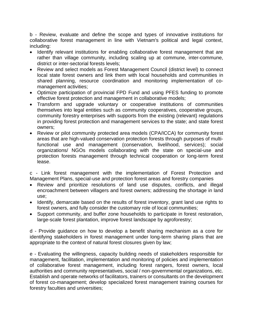b - Review, evaluate and define the scope and types of innovative institutions for collaborative forest management in line with Vietnam's political and legal context, including:

- Identify relevant institutions for enabling collaborative forest management that are rather than village community, including scaling up at commune, inter-commune, district or inter-sectorial forests levels;
- Review and select models as Forest Management Council (district level) to connect local state forest owners and link them with local households and communities in shared planning, resource coordination and monitoring implementation of comanagement activities;
- Optimize participation of provincial FPD Fund and using PFES funding to promote effective forest protection and management in collaborative models;
- Transform and upgrade voluntary or cooperative institutions of communities themselves into legal entities such as community cooperatives, cooperative groups, community forestry enterprises with supports from the existing (relevant) regulations in providing forest protection and management services to the state; and state forest owners;
- Review or pilot community protected area models (CPA/ICCA) for community forest areas that are high-valued conservation protection forests through purposes of multifunctional use and management (conservation, livelihood, services); social organizations/ NGOs models collaborating with the state on special-use and protection forests management through technical cooperation or long-term forest lease.

c - Link forest management with the implementation of Forest Protection and Management Plans, special-use and protection forest areas and forestry companies

- Review and prioritize resolutions of land use disputes, conflicts, and illegal encroachment between villagers and forest owners; addressing the shortage in land use;
- Identify, demarcate based on the results of forest inventory, grant land use rights to forest owners, and fully consider the customary role of local communities;
- Support community, and buffer zone households to participate in forest restoration, large-scale forest plantation, improve forest landscape by agroforestry;

d - Provide guidance on how to develop a benefit sharing mechanism as a core for identifying stakeholders in forest management under long-term sharing plans that are appropriate to the context of natural forest closures given by law;

e - Evaluating the willingness, capacity building needs of stakeholders responsible for management, facilitation, implementation and monitoring of policies and implementation of collaborative forest management, including forest rangers, forest owners, local authorities and community representatives, social / non-governmental organizations, etc. Establish and operate networks of facilitators, trainers or consultants on the development of forest co-management; develop specialized forest management training courses for forestry faculties and universities;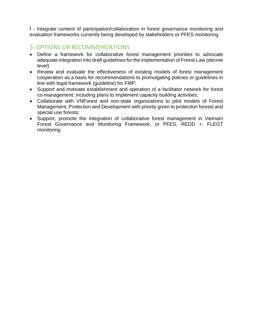f - Integrate content of participation/collaboration in forest governance monitoring and evaluation frameworks currently being developed by stakeholders or PFES monitoring.

## 5. OPTIONS OR RECOMMENDATIONS

- Define a framework for collaborative forest management priorities to advocate adequate integration into draft guidelines for the implementation of Forest Law (decree level)
- Review and evaluate the effectiveness of existing models of forest management cooperation as a basis for recommendations to promulgating policies or guidelines in line with legal framework (guideline) for FMP;
- Support and motivate establishment and operation of a facilitator network for forest co-management; including plans to implement capacity building activities;
- Collaborate with VNForest and non-state organizations to pilot models of Forest Management, Protection and Development with priority given to protection forests and special use forests;
- Support, promote the integration of collaborative forest management in Vietnam Forest Governance and Monitoring Framework, or PFES, REDD +, FLEGT monitoring.